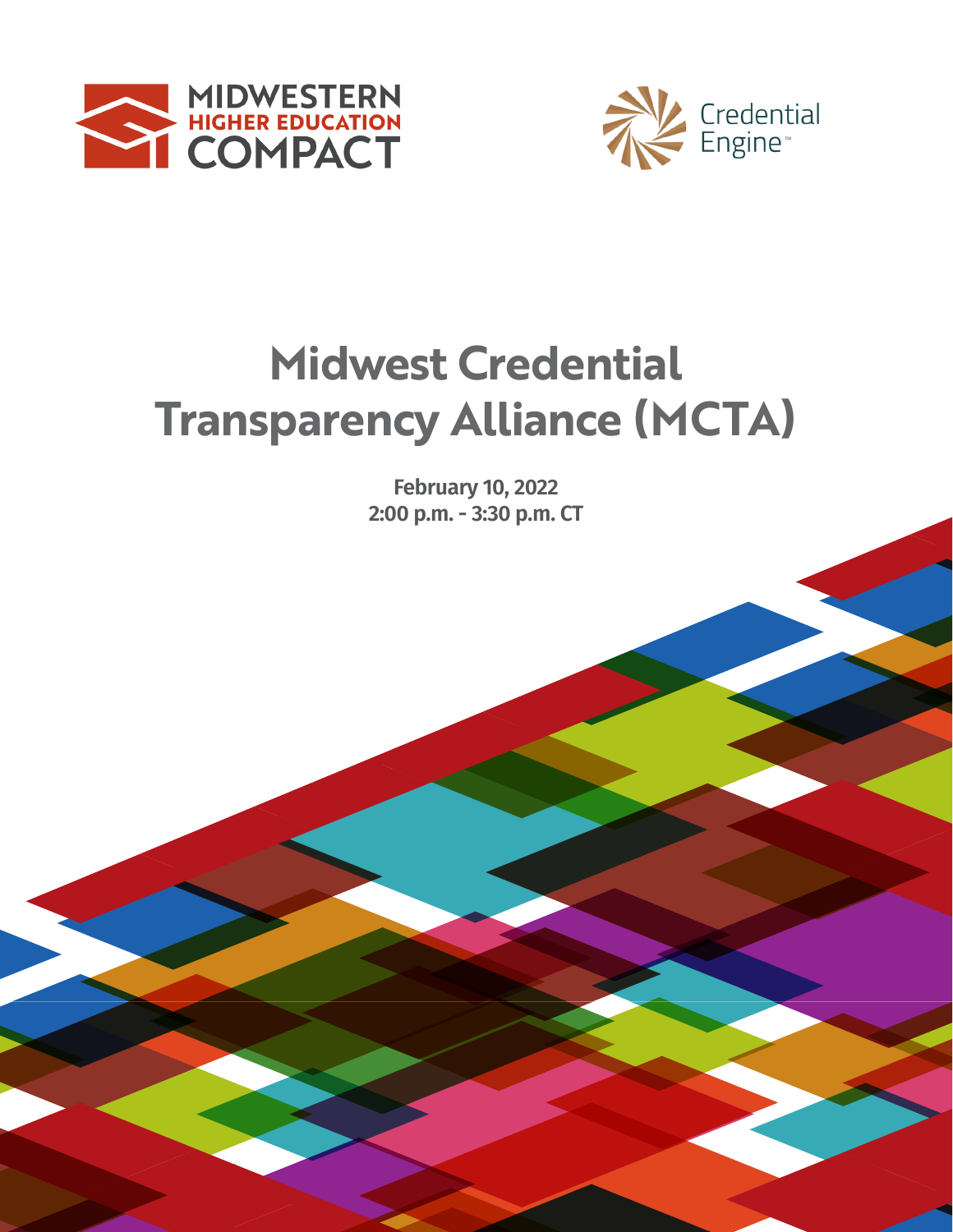



# **2020-2021 Transparency Alliance (MCTA) Midwest Credential**

Febi<br>2:00 p. **February 10, 2022 2:00 p.m. - 3:30 p.m. CT**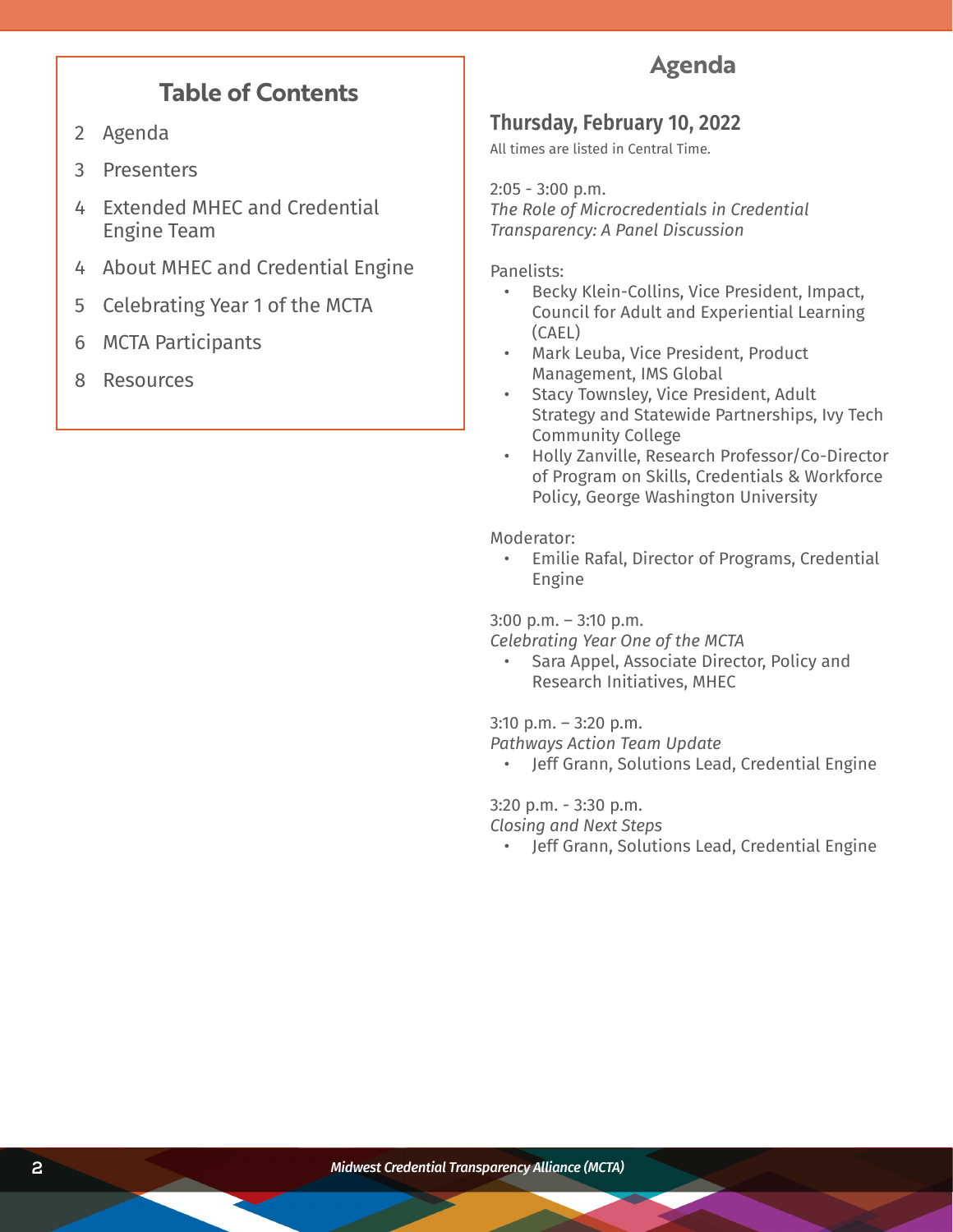# **Table of Contents**

- 2 Agenda
- 3 Presenters
- 4 Extended MHEC and Credential Engine Team
- 4 About MHEC and Credential Engine
- 5 Celebrating Year 1 of the MCTA
- 6 MCTA Participants
- 8 Resources

# **Agenda**

### **Thursday, February 10, 2022**

All times are listed in Central Time.

2:05 - 3:00 p.m. *The Role of Microcredentials in Credential Transparency: A Panel Discussion*

Panelists:

- Becky Klein-Collins, Vice President, Impact, Council for Adult and Experiential Learning (CAEL)
- Mark Leuba, Vice President, Product Management, IMS Global
- Stacy Townsley, Vice President, Adult Strategy and Statewide Partnerships, Ivy Tech Community College
- Holly Zanville, Research Professor/Co-Director of Program on Skills, Credentials & Workforce Policy, George Washington University

Moderator:

• Emilie Rafal, Director of Programs, Credential Engine

3:00 p.m. – 3:10 p.m.

*Celebrating Year One of the MCTA*

• Sara Appel, Associate Director, Policy and Research Initiatives, MHEC

3:10 p.m. – 3:20 p.m.

*Pathways Action Team Update*

• Jeff Grann, Solutions Lead, Credential Engine

3:20 p.m. - 3:30 p.m.

*Closing and Next Steps*

• Jeff Grann, Solutions Lead, Credential Engine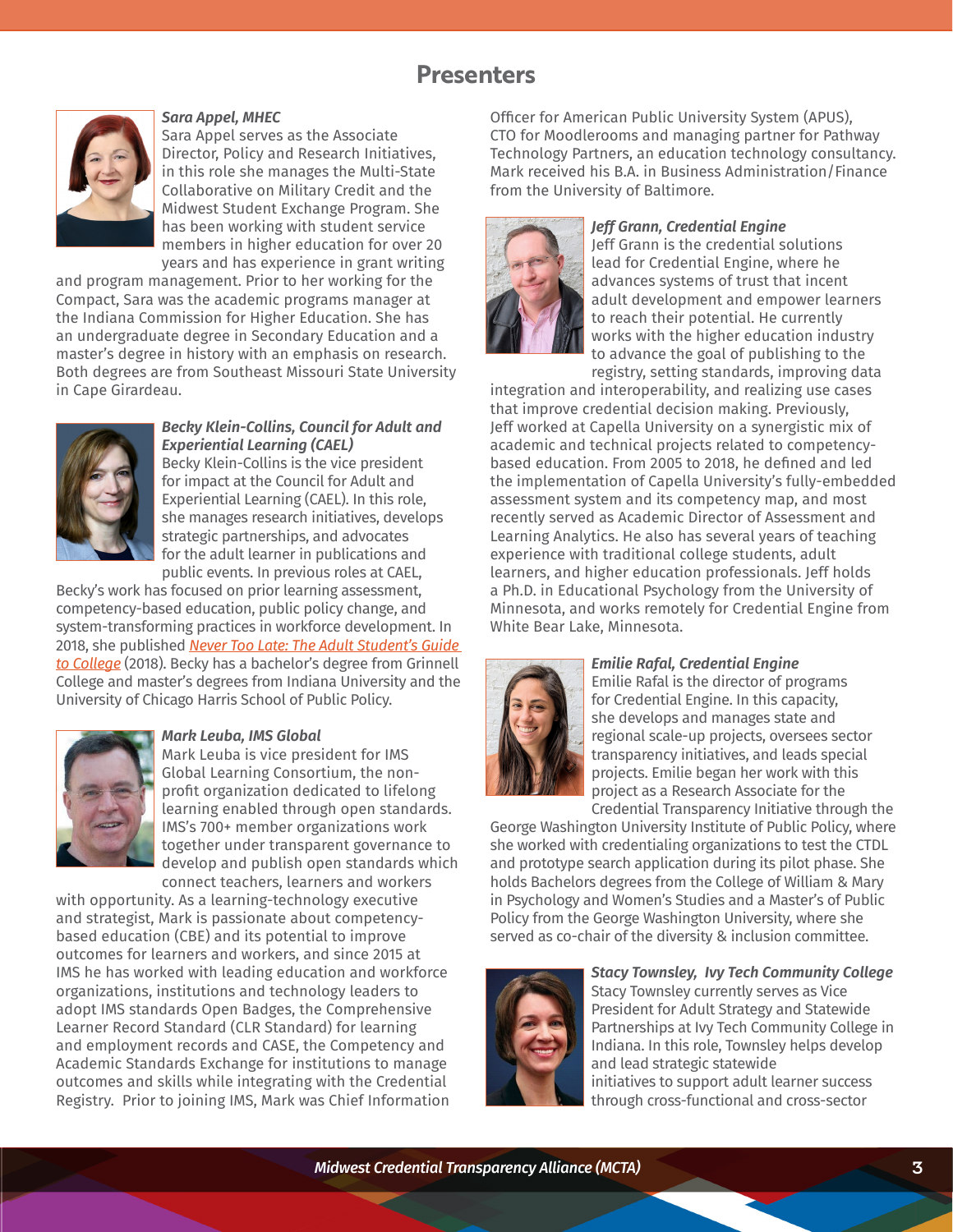# **Presenters**



#### *Sara Appel, MHEC*

Sara Appel serves as the Associate Director, Policy and Research Initiatives, in this role she manages the Multi-State Collaborative on Military Credit and the Midwest Student Exchange Program. She has been working with student service members in higher education for over 20 years and has experience in grant writing

and program management. Prior to her working for the Compact, Sara was the academic programs manager at the Indiana Commission for Higher Education. She has an undergraduate degree in Secondary Education and a master's degree in history with an emphasis on research. Both degrees are from Southeast Missouri State University in Cape Girardeau.



#### *Becky Klein-Collins, Council for Adult and Experiential Learning (CAEL)*

Becky Klein-Collins is the vice president for impact at the Council for Adult and Experiential Learning (CAEL). In this role, she manages research initiatives, develops strategic partnerships, and advocates for the adult learner in publications and public events. In previous roles at CAEL,

Becky's work has focused on prior learning assessment, competency-based education, public policy change, and system-transforming practices in workforce development. In 2018, she published *[Never Too Late: The Adult Student's Guide](https://thenewpress.com/books/never-too-late)  [to College](https://thenewpress.com/books/never-too-late)* (2018). Becky has a bachelor's degree from Grinnell College and master's degrees from Indiana University and the University of Chicago Harris School of Public Policy.



#### *Mark Leuba, IMS Global*

Mark Leuba is vice president for IMS Global Learning Consortium, the nonprofit organization dedicated to lifelong learning enabled through open standards. IMS's 700+ member organizations work together under transparent governance to develop and publish open standards which connect teachers, learners and workers

with opportunity. As a learning-technology executive and strategist, Mark is passionate about competencybased education (CBE) and its potential to improve outcomes for learners and workers, and since 2015 at IMS he has worked with leading education and workforce organizations, institutions and technology leaders to adopt IMS standards Open Badges, the Comprehensive Learner Record Standard (CLR Standard) for learning and employment records and CASE, the Competency and Academic Standards Exchange for institutions to manage outcomes and skills while integrating with the Credential Registry. Prior to joining IMS, Mark was Chief Information Officer for American Public University System (APUS), CTO for Moodlerooms and managing partner for Pathway Technology Partners, an education technology consultancy. Mark received his B.A. in Business Administration/Finance from the University of Baltimore.



#### *Jeff Grann, Credential Engine*

Jeff Grann is the credential solutions lead for Credential Engine, where he advances systems of trust that incent adult development and empower learners to reach their potential. He currently works with the higher education industry to advance the goal of publishing to the registry, setting standards, improving data

integration and interoperability, and realizing use cases that improve credential decision making. Previously, Jeff worked at Capella University on a synergistic mix of academic and technical projects related to competencybased education. From 2005 to 2018, he defined and led the implementation of Capella University's fully-embedded assessment system and its competency map, and most recently served as Academic Director of Assessment and Learning Analytics. He also has several years of teaching experience with traditional college students, adult learners, and higher education professionals. Jeff holds a Ph.D. in Educational Psychology from the University of Minnesota, and works remotely for Credential Engine from White Bear Lake, Minnesota.



#### *Emilie Rafal, Credential Engine* Emilie Rafal is the director of programs for Credential Engine. In this capacity, she develops and manages state and regional scale-up projects, oversees sector transparency initiatives, and leads special projects. Emilie began her work with this project as a Research Associate for the Credential Transparency Initiative through the

George Washington University Institute of Public Policy, where she worked with credentialing organizations to test the CTDL and prototype search application during its pilot phase. She holds Bachelors degrees from the College of William & Mary in Psychology and Women's Studies and a Master's of Public Policy from the George Washington University, where she served as co-chair of the diversity & inclusion committee.



*Stacy Townsley, Ivy Tech Community College* Stacy Townsley currently serves as Vice President for Adult Strategy and Statewide Partnerships at Ivy Tech Community College in Indiana. In this role, Townsley helps develop and lead strategic statewide

initiatives to support adult learner success through cross-functional and cross-sector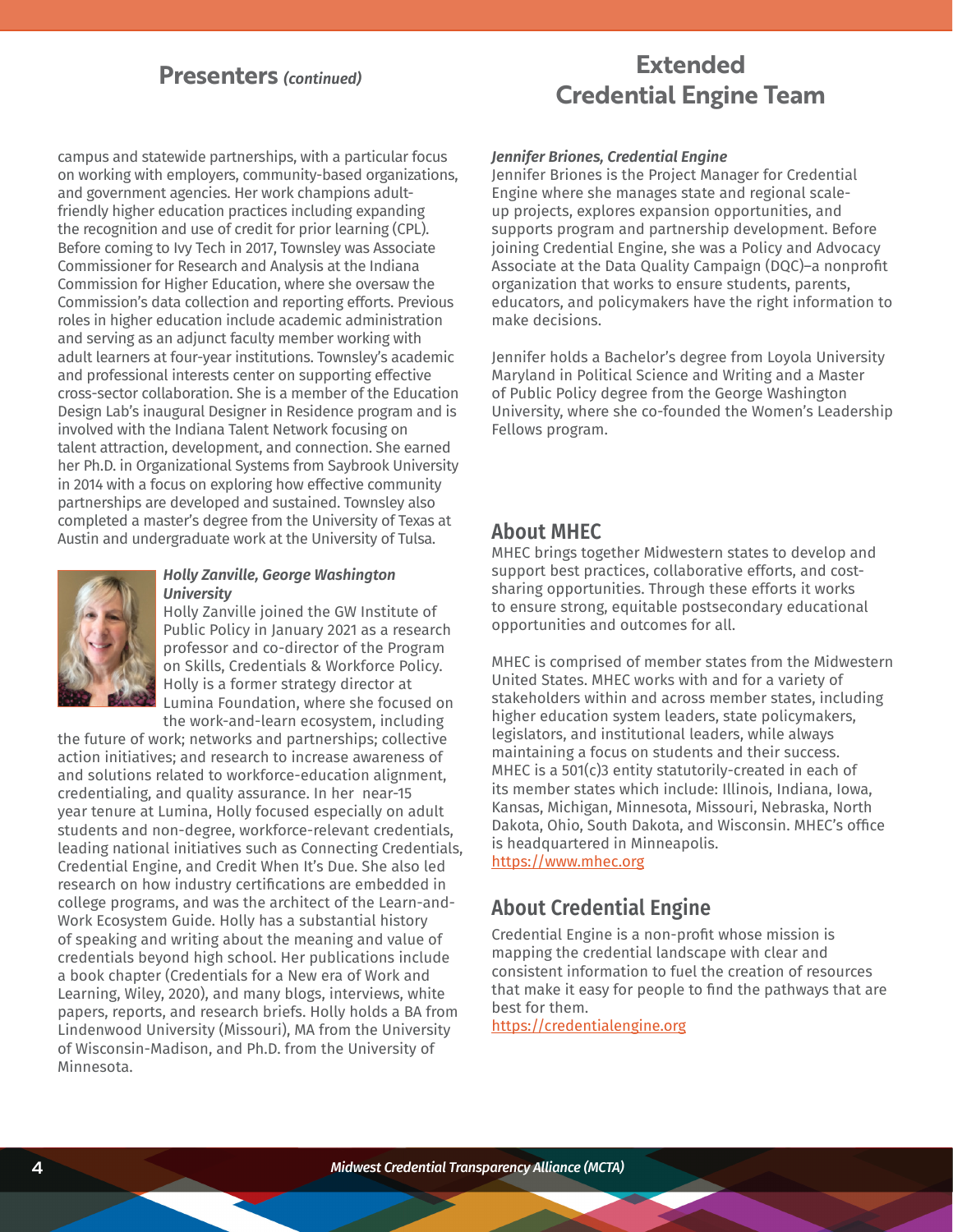# **Presenters** *(continued)*

# **Extended Credential Engine Team**

campus and statewide partnerships, with a particular focus on working with employers, community-based organizations, and government agencies. Her work champions adultfriendly higher education practices including expanding the recognition and use of credit for prior learning (CPL). Before coming to Ivy Tech in 2017, Townsley was Associate Commissioner for Research and Analysis at the Indiana Commission for Higher Education, where she oversaw the Commission's data collection and reporting efforts. Previous roles in higher education include academic administration and serving as an adjunct faculty member working with adult learners at four-year institutions. Townsley's academic and professional interests center on supporting effective cross-sector collaboration. She is a member of the Education Design Lab's inaugural Designer in Residence program and is involved with the Indiana Talent Network focusing on talent attraction, development, and connection. She earned her Ph.D. in Organizational Systems from Saybrook University in 2014 with a focus on exploring how effective community partnerships are developed and sustained. Townsley also completed a master's degree from the University of Texas at Austin and undergraduate work at the University of Tulsa.



#### *Holly Zanville, George Washington University*

Holly Zanville joined the GW Institute of Public Policy in January 2021 as a research professor and co-director of the Program on Skills, Credentials & Workforce Policy. Holly is a former strategy director at Lumina Foundation, where she focused on the work-and-learn ecosystem, including

the future of work; networks and partnerships; collective action initiatives; and research to increase awareness of and solutions related to workforce-education alignment, credentialing, and quality assurance. In her near-15 year tenure at Lumina, Holly focused especially on adult students and non-degree, workforce-relevant credentials, leading national initiatives such as Connecting Credentials, Credential Engine, and Credit When It's Due. She also led research on how industry certifications are embedded in college programs, and was the architect of the Learn-and-Work Ecosystem Guide. Holly has a substantial history of speaking and writing about the meaning and value of credentials beyond high school. Her publications include a book chapter (Credentials for a New era of Work and Learning, Wiley, 2020), and many blogs, interviews, white papers, reports, and research briefs. Holly holds a BA from Lindenwood University (Missouri), MA from the University of Wisconsin-Madison, and Ph.D. from the University of Minnesota.

#### *Jennifer Briones, Credential Engine*

Jennifer Briones is the Project Manager for Credential Engine where she manages state and regional scaleup projects, explores expansion opportunities, and supports program and partnership development. Before joining Credential Engine, she was a Policy and Advocacy Associate at the Data Quality Campaign (DQC)–a nonprofit organization that works to ensure students, parents, educators, and policymakers have the right information to make decisions.

Jennifer holds a Bachelor's degree from Loyola University Maryland in Political Science and Writing and a Master of Public Policy degree from the George Washington University, where she co-founded the Women's Leadership Fellows program.

### **About MHEC**

MHEC brings together Midwestern states to develop and support best practices, collaborative efforts, and costsharing opportunities. Through these efforts it works to ensure strong, equitable postsecondary educational opportunities and outcomes for all.

MHEC is comprised of member states from the Midwestern United States. MHEC works with and for a variety of stakeholders within and across member states, including higher education system leaders, state policymakers, legislators, and institutional leaders, while always maintaining a focus on students and their success. MHEC is a 501(c)3 entity statutorily-created in each of its member states which include: Illinois, Indiana, Iowa, Kansas, Michigan, Minnesota, Missouri, Nebraska, North Dakota, Ohio, South Dakota, and Wisconsin. MHEC's office is headquartered in Minneapolis. [https://www.mhec.org](https://www.mhec.org/)

### **About Credential Engine**

Credential Engine is a non-profit whose mission is mapping the credential landscape with clear and consistent information to fuel the creation of resources that make it easy for people to find the pathways that are best for them.

<https://credentialengine.org>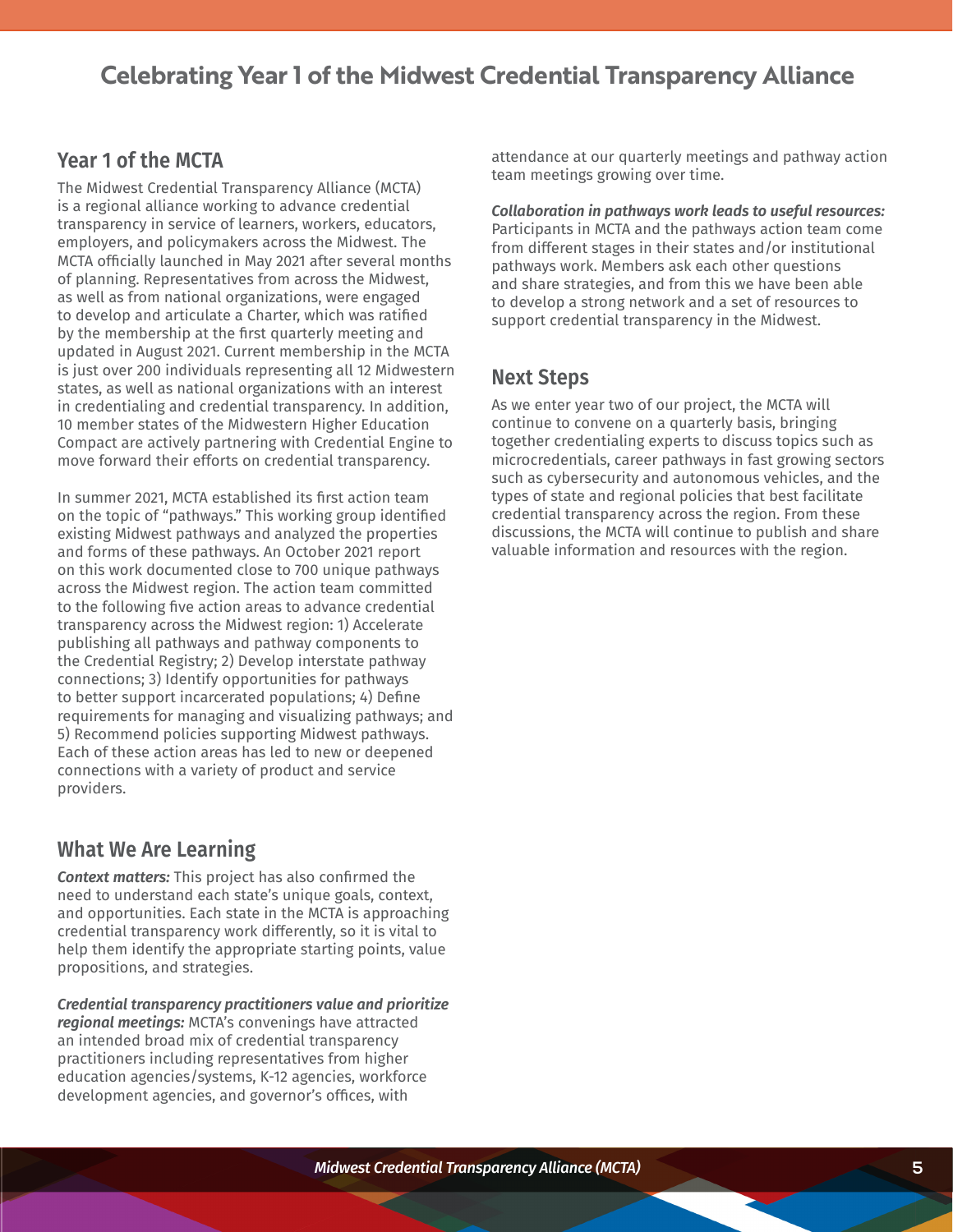# **Celebrating Year 1 of the Midwest Credential Transparency Alliance**

### **Year 1 of the MCTA**

The Midwest Credential Transparency Alliance (MCTA) is a regional alliance working to advance credential transparency in service of learners, workers, educators, employers, and policymakers across the Midwest. The MCTA officially launched in May 2021 after several months of planning. Representatives from across the Midwest, as well as from national organizations, were engaged to develop and articulate a Charter, which was ratified by the membership at the first quarterly meeting and updated in August 2021. Current membership in the MCTA is just over 200 individuals representing all 12 Midwestern states, as well as national organizations with an interest in credentialing and credential transparency. In addition, 10 member states of the Midwestern Higher Education Compact are actively partnering with Credential Engine to move forward their efforts on credential transparency.

In summer 2021, MCTA established its first action team on the topic of "pathways." This working group identified existing Midwest pathways and analyzed the properties and forms of these pathways. An October 2021 report on this work documented close to 700 unique pathways across the Midwest region. The action team committed to the following five action areas to advance credential transparency across the Midwest region: 1) Accelerate publishing all pathways and pathway components to the Credential Registry; 2) Develop interstate pathway connections; 3) Identify opportunities for pathways to better support incarcerated populations; 4) Define requirements for managing and visualizing pathways; and 5) Recommend policies supporting Midwest pathways. Each of these action areas has led to new or deepened connections with a variety of product and service providers.

### **What We Are Learning**

*Context matters:* This project has also confirmed the need to understand each state's unique goals, context, and opportunities. Each state in the MCTA is approaching credential transparency work differently, so it is vital to help them identify the appropriate starting points, value propositions, and strategies.

*Credential transparency practitioners value and prioritize regional meetings:* MCTA's convenings have attracted an intended broad mix of credential transparency practitioners including representatives from higher education agencies/systems, K-12 agencies, workforce development agencies, and governor's offices, with

attendance at our quarterly meetings and pathway action team meetings growing over time.

*Collaboration in pathways work leads to useful resources:*  Participants in MCTA and the pathways action team come from different stages in their states and/or institutional pathways work. Members ask each other questions and share strategies, and from this we have been able to develop a strong network and a set of resources to support credential transparency in the Midwest.

### **Next Steps**

As we enter year two of our project, the MCTA will continue to convene on a quarterly basis, bringing together credentialing experts to discuss topics such as microcredentials, career pathways in fast growing sectors such as cybersecurity and autonomous vehicles, and the types of state and regional policies that best facilitate credential transparency across the region. From these discussions, the MCTA will continue to publish and share valuable information and resources with the region.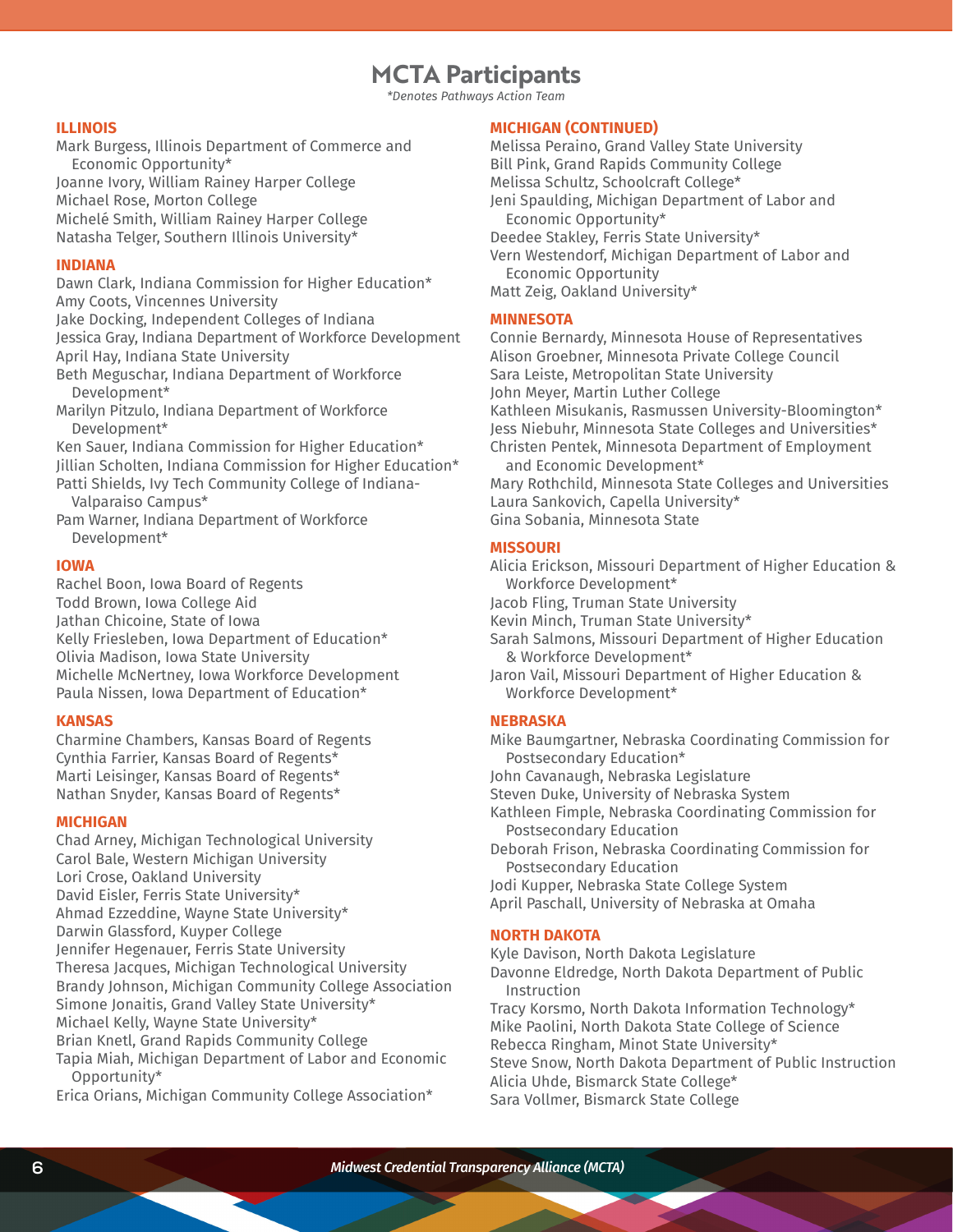# **MCTA Participants**

*\*Denotes Pathways Action Team*

#### **ILLINOIS**

Mark Burgess, Illinois Department of Commerce and Economic Opportunity\* Joanne Ivory, William Rainey Harper College Michael Rose, Morton College Michelé Smith, William Rainey Harper College

Natasha Telger, Southern Illinois University\*

**INDIANA**

Dawn Clark, Indiana Commission for Higher Education\* Amy Coots, Vincennes University Jake Docking, Independent Colleges of Indiana Jessica Gray, Indiana Department of Workforce Development April Hay, Indiana State University

Beth Meguschar, Indiana Department of Workforce Development\*

Marilyn Pitzulo, Indiana Department of Workforce Development\*

Ken Sauer, Indiana Commission for Higher Education\* Jillian Scholten, Indiana Commission for Higher Education\* Patti Shields, Ivy Tech Community College of Indiana-

Valparaiso Campus\*

Pam Warner, Indiana Department of Workforce Development\*

#### **IOWA**

Rachel Boon, Iowa Board of Regents Todd Brown, Iowa College Aid Jathan Chicoine, State of Iowa Kelly Friesleben, Iowa Department of Education\* Olivia Madison, Iowa State University Michelle McNertney, Iowa Workforce Development Paula Nissen, Iowa Department of Education\*

#### **KANSAS**

Charmine Chambers, Kansas Board of Regents Cynthia Farrier, Kansas Board of Regents\* Marti Leisinger, Kansas Board of Regents\* Nathan Snyder, Kansas Board of Regents\*

#### **MICHIGAN**

Chad Arney, Michigan Technological University Carol Bale, Western Michigan University Lori Crose, Oakland University David Eisler, Ferris State University\* Ahmad Ezzeddine, Wayne State University\* Darwin Glassford, Kuyper College Jennifer Hegenauer, Ferris State University Theresa Jacques, Michigan Technological University Brandy Johnson, Michigan Community College Association Simone Jonaitis, Grand Valley State University\* Michael Kelly, Wayne State University\* Brian Knetl, Grand Rapids Community College Tapia Miah, Michigan Department of Labor and Economic Opportunity\*

Erica Orians, Michigan Community College Association\*

#### **MICHIGAN (CONTINUED)**

Melissa Peraino, Grand Valley State University Bill Pink, Grand Rapids Community College Melissa Schultz, Schoolcraft College\* Jeni Spaulding, Michigan Department of Labor and Economic Opportunity\* Deedee Stakley, Ferris State University\* Vern Westendorf, Michigan Department of Labor and Economic Opportunity Matt Zeig, Oakland University\*

#### **MINNESOTA**

Connie Bernardy, Minnesota House of Representatives Alison Groebner, Minnesota Private College Council Sara Leiste, Metropolitan State University John Meyer, Martin Luther College Kathleen Misukanis, Rasmussen University-Bloomington\* Jess Niebuhr, Minnesota State Colleges and Universities\* Christen Pentek, Minnesota Department of Employment and Economic Development\* Mary Rothchild, Minnesota State Colleges and Universities

Laura Sankovich, Capella University\* Gina Sobania, Minnesota State

#### **MISSOURI**

Alicia Erickson, Missouri Department of Higher Education & Workforce Development\*

Jacob Fling, Truman State University

Kevin Minch, Truman State University\*

Sarah Salmons, Missouri Department of Higher Education & Workforce Development\*

Jaron Vail, Missouri Department of Higher Education & Workforce Development\*

#### **NEBRASKA**

Mike Baumgartner, Nebraska Coordinating Commission for Postsecondary Education\*

John Cavanaugh, Nebraska Legislature

Steven Duke, University of Nebraska System

Kathleen Fimple, Nebraska Coordinating Commission for Postsecondary Education

Deborah Frison, Nebraska Coordinating Commission for Postsecondary Education

Jodi Kupper, Nebraska State College System April Paschall, University of Nebraska at Omaha

#### **NORTH DAKOTA**

Kyle Davison, North Dakota Legislature

Davonne Eldredge, North Dakota Department of Public Instruction

Tracy Korsmo, North Dakota Information Technology\* Mike Paolini, North Dakota State College of Science Rebecca Ringham, Minot State University\* Steve Snow, North Dakota Department of Public Instruction Alicia Uhde, Bismarck State College\*

Sara Vollmer, Bismarck State College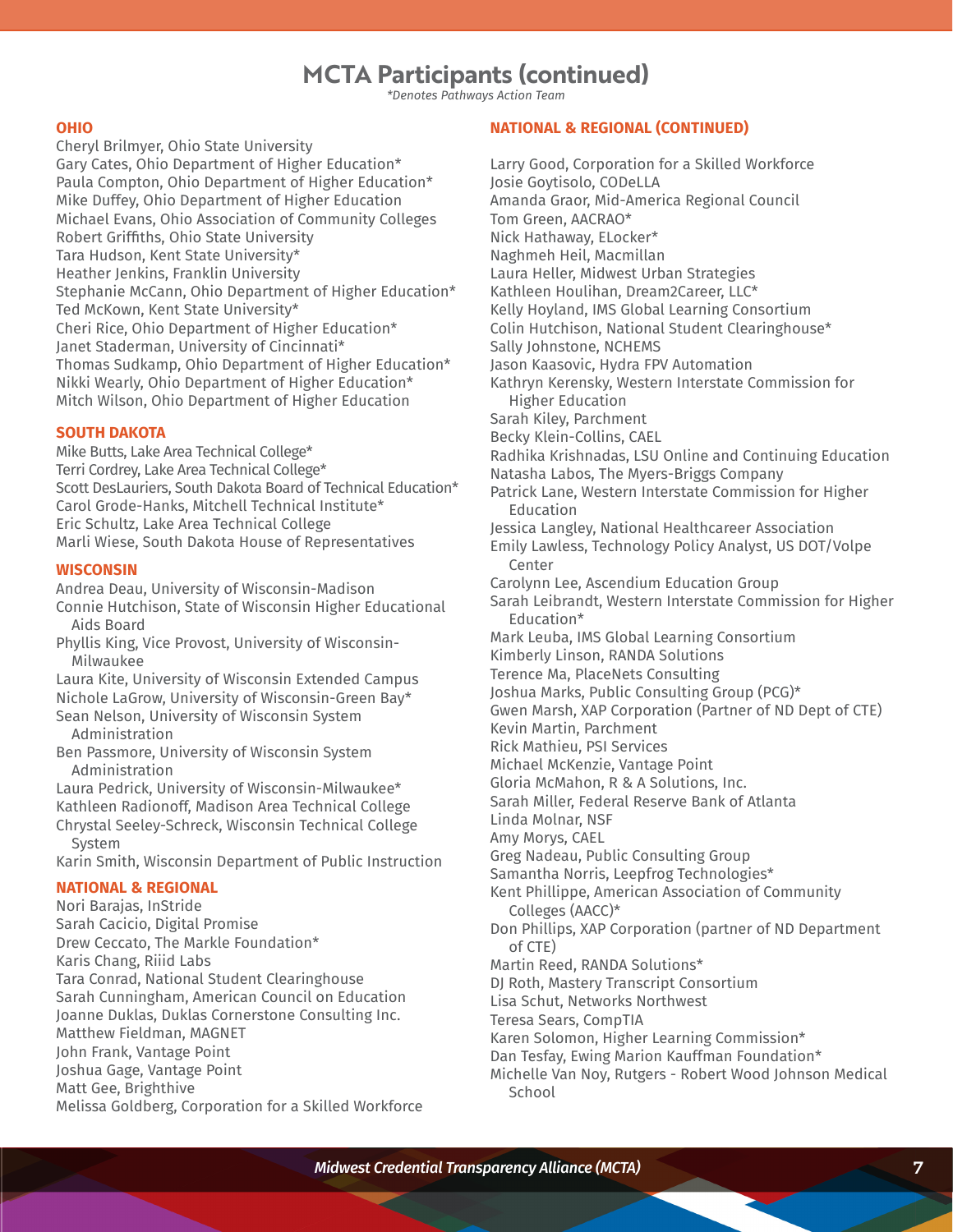# **MCTA Participants (continued)**

*\*Denotes Pathways Action Team*

#### **OHIO**

Cheryl Brilmyer, Ohio State University Gary Cates, Ohio Department of Higher Education\* Paula Compton, Ohio Department of Higher Education\* Mike Duffey, Ohio Department of Higher Education Michael Evans, Ohio Association of Community Colleges Robert Griffiths, Ohio State University Tara Hudson, Kent State University\* Heather Jenkins, Franklin University Stephanie McCann, Ohio Department of Higher Education\* Ted McKown, Kent State University\* Cheri Rice, Ohio Department of Higher Education\* Janet Staderman, University of Cincinnati\* Thomas Sudkamp, Ohio Department of Higher Education\* Nikki Wearly, Ohio Department of Higher Education\* Mitch Wilson, Ohio Department of Higher Education

#### **SOUTH DAKOTA**

Mike Butts, Lake Area Technical College\* Terri Cordrey, Lake Area Technical College\* Scott DesLauriers, South Dakota Board of Technical Education\* Carol Grode-Hanks, Mitchell Technical Institute\* Eric Schultz, Lake Area Technical College Marli Wiese, South Dakota House of Representatives

#### **WISCONSIN**

Andrea Deau, University of Wisconsin-Madison Connie Hutchison, State of Wisconsin Higher Educational Aids Board

Phyllis King, Vice Provost, University of Wisconsin-Milwaukee

Laura Kite, University of Wisconsin Extended Campus Nichole LaGrow, University of Wisconsin-Green Bay\* Sean Nelson, University of Wisconsin System Administration

Ben Passmore, University of Wisconsin System Administration

Laura Pedrick, University of Wisconsin-Milwaukee\* Kathleen Radionoff, Madison Area Technical College Chrystal Seeley-Schreck, Wisconsin Technical College

System Karin Smith, Wisconsin Department of Public Instruction

#### **NATIONAL & REGIONAL**

Nori Barajas, InStride Sarah Cacicio, Digital Promise Drew Ceccato, The Markle Foundation\* Karis Chang, Riiid Labs Tara Conrad, National Student Clearinghouse Sarah Cunningham, American Council on Education Joanne Duklas, Duklas Cornerstone Consulting Inc. Matthew Fieldman, MAGNET John Frank, Vantage Point Joshua Gage, Vantage Point Matt Gee, Brighthive Melissa Goldberg, Corporation for a Skilled Workforce

#### **NATIONAL & REGIONAL (CONTINUED)**

Larry Good, Corporation for a Skilled Workforce Josie Goytisolo, CODeLLA Amanda Graor, Mid-America Regional Council Tom Green, AACRAO\* Nick Hathaway, ELocker\* Naghmeh Heil, Macmillan Laura Heller, Midwest Urban Strategies Kathleen Houlihan, Dream2Career, LLC\* Kelly Hoyland, IMS Global Learning Consortium Colin Hutchison, National Student Clearinghouse\* Sally Johnstone, NCHEMS Jason Kaasovic, Hydra FPV Automation Kathryn Kerensky, Western Interstate Commission for Higher Education Sarah Kiley, Parchment Becky Klein-Collins, CAEL Radhika Krishnadas, LSU Online and Continuing Education Natasha Labos, The Myers-Briggs Company Patrick Lane, Western Interstate Commission for Higher Education Jessica Langley, National Healthcareer Association Emily Lawless, Technology Policy Analyst, US DOT/Volpe Center Carolynn Lee, Ascendium Education Group Sarah Leibrandt, Western Interstate Commission for Higher Education\* Mark Leuba, IMS Global Learning Consortium Kimberly Linson, RANDA Solutions Terence Ma, PlaceNets Consulting Joshua Marks, Public Consulting Group (PCG)\* Gwen Marsh, XAP Corporation (Partner of ND Dept of CTE) Kevin Martin, Parchment Rick Mathieu, PSI Services Michael McKenzie, Vantage Point Gloria McMahon, R & A Solutions, Inc. Sarah Miller, Federal Reserve Bank of Atlanta Linda Molnar, NSF Amy Morys, CAEL Greg Nadeau, Public Consulting Group Samantha Norris, Leepfrog Technologies\* Kent Phillippe, American Association of Community Colleges (AACC)\* Don Phillips, XAP Corporation (partner of ND Department of CTE) Martin Reed, RANDA Solutions\* DJ Roth, Mastery Transcript Consortium Lisa Schut, Networks Northwest Teresa Sears, CompTIA Karen Solomon, Higher Learning Commission\* Dan Tesfay, Ewing Marion Kauffman Foundation\* Michelle Van Noy, Rutgers - Robert Wood Johnson Medical **School**